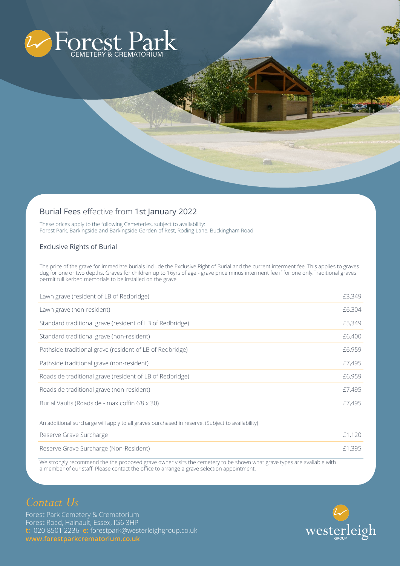

## Burial Fees effective from 1st January 2022

These prices apply to the following Cemeteries, subject to availability: Forest Park, Barkingside and Barkingside Garden of Rest, Roding Lane, Buckingham Road

## Exclusive Rights of Burial

The price of the grave for immediate burials include the Exclusive Right of Burial and the current interment fee. This applies to graves dug for one or two depths. Graves for children up to 16yrs of age - grave price minus interment fee if for one only.Traditional graves permit full kerbed memorials to be installed on the grave.

| Lawn grave (resident of LB of Redbridge)                 | £3,349 |
|----------------------------------------------------------|--------|
| Lawn grave (non-resident)                                | £6,304 |
| Standard traditional grave (resident of LB of Redbridge) | £5,349 |
| Standard traditional grave (non-resident)                | £6,400 |
| Pathside traditional grave (resident of LB of Redbridge) | £6,959 |
| Pathside traditional grave (non-resident)                | £7,495 |
| Roadside traditional grave (resident of LB of Redbridge) | £6,959 |
| Roadside traditional grave (non-resident)                | £7,495 |
| Burial Vaults (Roadside - max coffin 6'8 x 30)           | £7,495 |

An additional surcharge will apply to all graves purchased in reserve. (Subject to availability)

| Reserve Grave Surcharge                | £1,120 |
|----------------------------------------|--------|
| Reserve Grave Surcharge (Non-Resident) | £1,395 |

We strongly recommend the the proposed grave owner visits the cemetery to be shown what grave types are available with a member of our staff. Please contact the office to arrange a grave selection appointment.

Forest Park Cemetery & Crematorium Forest Road, Hainault, Essex, IG6 3HP **t:** 020 8501 2236 **e:** forestpark@westerleighgroup.co.uk